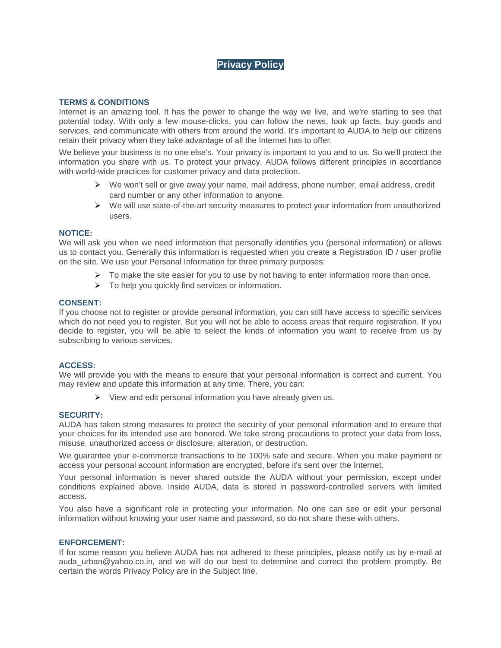# **Privacy Policy**

### **TERMS & CONDITIONS**

Internet is an amazing tool. It has the power to change the way we live, and we're starting to see that potential today. With only a few mouse-clicks, you can follow the news, look up facts, buy goods and services, and communicate with others from around the world. It's important to AUDA to help our citizens retain their privacy when they take advantage of all the Internet has to offer.

We believe your business is no one else's. Your privacy is important to you and to us. So we'll protect the information you share with us. To protect your privacy, AUDA follows different principles in accordance with world-wide practices for customer privacy and data protection.

- $\triangleright$  We won't sell or give away your name, mail address, phone number, email address, credit card number or any other information to anyone.
- $\triangleright$  We will use state-of-the-art security measures to protect your information from unauthorized users.

### **NOTICE:**

We will ask you when we need information that personally identifies you (personal information) or allows us to contact you. Generally this information is requested when you create a Registration ID / user profile on the site. We use your Personal Information for three primary purposes:

- $\triangleright$  To make the site easier for you to use by not having to enter information more than once.
- $\triangleright$  To help you quickly find services or information.

### **CONSENT:**

If you choose not to register or provide personal information, you can still have access to specific services which do not need you to register. But you will not be able to access areas that require registration. If you decide to register, you will be able to select the kinds of information you want to receive from us by subscribing to various services.

# **ACCESS:**

We will provide you with the means to ensure that your personal information is correct and current. You may review and update this information at any time. There, you can:

 $\triangleright$  View and edit personal information you have already given us.

### **SECURITY:**

AUDA has taken strong measures to protect the security of your personal information and to ensure that your choices for its intended use are honored. We take strong precautions to protect your data from loss, misuse, unauthorized access or disclosure, alteration, or destruction.

We guarantee your e-commerce transactions to be 100% safe and secure. When you make payment or access your personal account information are encrypted, before it's sent over the Internet.

Your personal information is never shared outside the AUDA without your permission, except under conditions explained above. Inside AUDA, data is stored in password-controlled servers with limited access.

You also have a significant role in protecting your information. No one can see or edit your personal information without knowing your user name and password, so do not share these with others.

### **ENFORCEMENT:**

If for some reason you believe AUDA has not adhered to these principles, please notify us by e-mail at auda urban@yahoo.co.in, and we will do our best to determine and correct the problem promptly. Be certain the words Privacy Policy are in the Subject line.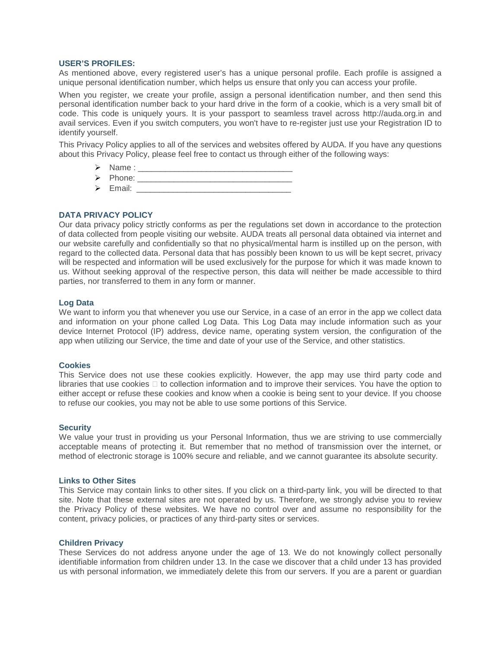### **USER'S PROFILES:**

As mentioned above, every registered user's has a unique personal profile. Each profile is assigned a unique personal identification number, which helps us ensure that only you can access your profile.

When you register, we create your profile, assign a personal identification number, and then send this personal identification number back to your hard drive in the form of a cookie, which is a very small bit of code. This code is uniquely yours. It is your passport to seamless travel across http://auda.org.in and avail services. Even if you switch computers, you won't have to re-register just use your Registration ID to identify yourself.

This Privacy Policy applies to all of the services and websites offered by AUDA. If you have any questions about this Privacy Policy, please feel free to contact us through either of the following ways:

- $\triangleright$  Name :
- Phone: \_\_\_\_\_\_\_\_\_\_\_\_\_\_\_\_\_\_\_\_\_\_\_\_\_\_\_\_\_\_\_\_\_\_
- $\triangleright$  Email:  $\triangleright$  Email:

# **DATA PRIVACY POLICY**

Our data privacy policy strictly conforms as per the regulations set down in accordance to the protection of data collected from people visiting our website. AUDA treats all personal data obtained via internet and our website carefully and confidentially so that no physical/mental harm is instilled up on the person, with regard to the collected data. Personal data that has possibly been known to us will be kept secret, privacy will be respected and information will be used exclusively for the purpose for which it was made known to us. Without seeking approval of the respective person, this data will neither be made accessible to third parties, nor transferred to them in any form or manner.

### **Log Data**

We want to inform you that whenever you use our Service, in a case of an error in the app we collect data and information on your phone called Log Data. This Log Data may include information such as your device Internet Protocol (IP) address, device name, operating system version, the configuration of the app when utilizing our Service, the time and date of your use of the Service, and other statistics.

### **Cookies**

This Service does not use these cookies explicitly. However, the app may use third party code and libraries that use cookies  $\Box$  to collection information and to improve their services. You have the option to either accept or refuse these cookies and know when a cookie is being sent to your device. If you choose to refuse our cookies, you may not be able to use some portions of this Service.

### **Security**

We value your trust in providing us your Personal Information, thus we are striving to use commercially acceptable means of protecting it. But remember that no method of transmission over the internet, or method of electronic storage is 100% secure and reliable, and we cannot guarantee its absolute security.

### **Links to Other Sites**

This Service may contain links to other sites. If you click on a third-party link, you will be directed to that site. Note that these external sites are not operated by us. Therefore, we strongly advise you to review the Privacy Policy of these websites. We have no control over and assume no responsibility for the content, privacy policies, or practices of any third-party sites or services.

### **Children Privacy**

These Services do not address anyone under the age of 13. We do not knowingly collect personally identifiable information from children under 13. In the case we discover that a child under 13 has provided us with personal information, we immediately delete this from our servers. If you are a parent or guardian